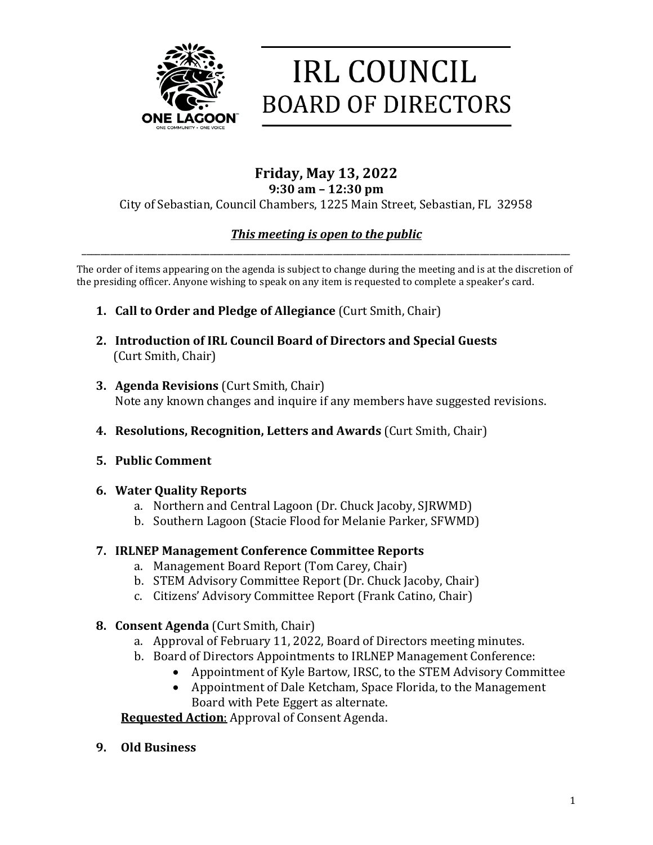

# **IRL COUNCIL BOARD OF DIRECTORS**

#### **Friday, May 13, 2022 9:30 am – 12:30 pm**

### City of Sebastian, Council Chambers, 1225 Main Street, Sebastian, FL 32958

## *This meeting is open to the public* \_\_\_\_\_\_\_\_\_\_\_\_\_\_\_\_\_\_\_\_\_\_\_\_\_\_\_\_\_\_\_\_\_\_\_\_\_\_\_\_\_\_\_\_\_\_\_\_\_\_\_\_\_\_\_\_\_\_\_\_\_\_\_\_\_\_\_\_\_\_\_\_\_\_\_\_\_\_\_\_\_\_\_\_\_\_\_\_\_\_\_\_\_\_\_\_\_\_\_\_\_\_\_

The order of items appearing on the agenda is subject to change during the meeting and is at the discretion of the presiding officer. Anyone wishing to speak on any item is requested to complete a speaker's card.

- **1. Call to Order and Pledge of Allegiance** (Curt Smith, Chair)
- **2. Introduction of IRL Council Board of Directors and Special Guests** (Curt Smith, Chair)
- **3. Agenda Revisions** (Curt Smith, Chair) Note any known changes and inquire if any members have suggested revisions.
- **4. Resolutions, Recognition, Letters and Awards** (Curt Smith, Chair)
- **5. Public Comment**
- **6. Water Quality Reports**
	- a. Northern and Central Lagoon (Dr. Chuck Jacoby, SJRWMD)
	- b. Southern Lagoon (Stacie Flood for Melanie Parker, SFWMD)

## **7. IRLNEP Management Conference Committee Reports**

- a. Management Board Report (Tom Carey, Chair)
- b. STEM Advisory Committee Report (Dr. Chuck Jacoby, Chair)
- c. Citizens' Advisory Committee Report (Frank Catino, Chair)
- **8. Consent Agenda** (Curt Smith, Chair)
	- a. Approval of February 11, 2022, Board of Directors meeting minutes.
	- b. Board of Directors Appointments to IRLNEP Management Conference:
		- Appointment of Kyle Bartow, IRSC, to the STEM Advisory Committee
		- Appointment of Dale Ketcham, Space Florida, to the Management Board with Pete Eggert as alternate.

**Requested Action**: Approval of Consent Agenda.

**9. Old Business**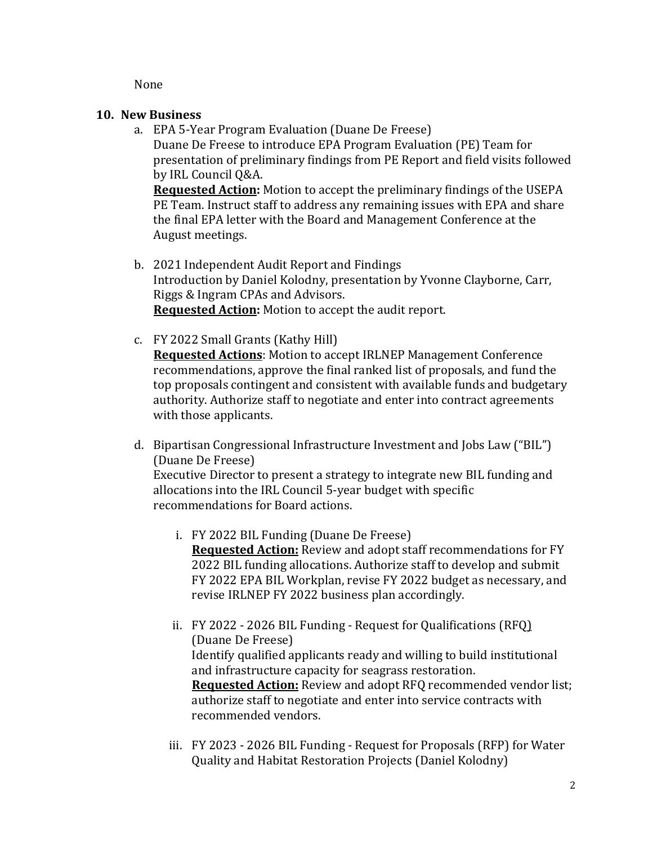None

#### **10. New Business**

a. EPA 5-Year Program Evaluation (Duane De Freese) Duane De Freese to introduce EPA Program Evaluation (PE) Team for presentation of preliminary findings from PE Report and field visits followed by IRL Council Q&A.

**Requested Action:** Motion to accept the preliminary findings of the USEPA PE Team. Instruct staff to address any remaining issues with EPA and share the final EPA letter with the Board and Management Conference at the August meetings.

- b. 2021 Independent Audit Report and Findings Introduction by Daniel Kolodny, presentation by Yvonne Clayborne, Carr, Riggs & Ingram CPAs and Advisors. **Requested Action:** Motion to accept the audit report.
- c. FY 2022 Small Grants (Kathy Hill) **Requested Actions**: Motion to accept IRLNEP Management Conference recommendations, approve the final ranked list of proposals, and fund the top proposals contingent and consistent with available funds and budgetary authority. Authorize staff to negotiate and enter into contract agreements with those applicants.
- d. Bipartisan Congressional Infrastructure Investment and Jobs Law ("BIL") (Duane De Freese)

Executive Director to present a strategy to integrate new BIL funding and allocations into the IRL Council 5-year budget with specific recommendations for Board actions.

- i. FY 2022 BIL Funding (Duane De Freese) **Requested Action:** Review and adopt staff recommendations for FY 2022 BIL funding allocations. Authorize staff to develop and submit FY 2022 EPA BIL Workplan, revise FY 2022 budget as necessary, and revise IRLNEP FY 2022 business plan accordingly.
- ii. FY 2022 2026 BIL Funding Request for Qualifications (RFQ) (Duane De Freese) Identify qualified applicants ready and willing to build institutional and infrastructure capacity for seagrass restoration. **Requested Action:** Review and adopt RFQ recommended vendor list; authorize staff to negotiate and enter into service contracts with recommended vendors.
- iii. FY 2023 2026 BIL Funding Request for Proposals (RFP) for Water Quality and Habitat Restoration Projects (Daniel Kolodny)